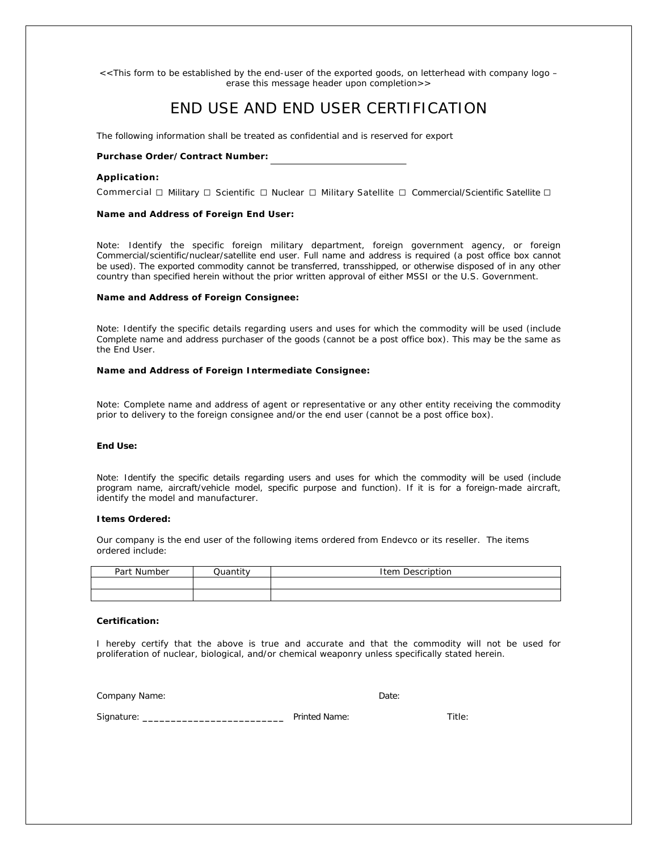*<<This form to be established by the end-user of the exported goods, on letterhead with company logo – erase this message header upon completion>>*

# END USE AND END USER CERTIFICATION

The following information shall be treated as confidential and is reserved for export

# **Purchase Order/Contract Number:**

### **Application:**

Commercial □ Military □ Scientific □ Nuclear □ Military Satellite □ Commercial/Scientific Satellite □

### **Name and Address of Foreign End User:**

Note: Identify the specific foreign military department, foreign government agency, or foreign Commercial/scientific/nuclear/satellite end user. Full name and address is required (a post office box cannot be used). The exported commodity cannot be transferred, transshipped, or otherwise disposed of in any other country than specified herein without the prior written approval of either MSSI or the U.S. Government.

### **Name and Address of Foreign Consignee:**

Note: Identify the specific details regarding users and uses for which the commodity will be used (include Complete name and address purchaser of the goods (cannot be a post office box). This may be the same as the End User.

### **Name and Address of Foreign Intermediate Consignee:**

Note: Complete name and address of agent or representative or any other entity receiving the commodity prior to delivery to the foreign consignee and/or the end user (cannot be a post office box).

# **End Use:**

Note: Identify the specific details regarding users and uses for which the commodity will be used (include program name, aircraft/vehicle model, specific purpose and function). If it is for a foreign-made aircraft, identify the model and manufacturer.

### **Items Ordered:**

Our company is the end user of the following items ordered from Endevco or its reseller. The items ordered include:

| Part Number | $Q$ ugntity | Item Description |
|-------------|-------------|------------------|
|             |             |                  |
|             |             |                  |

### **Certification:**

I hereby certify that the above is true and accurate and that the commodity will not be used for proliferation of nuclear, biological, and/or chemical weaponry unless specifically stated herein.

Company Name: Date: Date: Date: Date: Date: Date: Date: Date: Date: Date: Date: Date: Date: Date: Date: Date: Date: Date: Date: Date: Date: Date: Date: Date: Date: Date: Date: Date: Date: Date: Date: Date: Date: Date: Date

| Sianature: | Printed Name: | ïtle: |
|------------|---------------|-------|
|------------|---------------|-------|